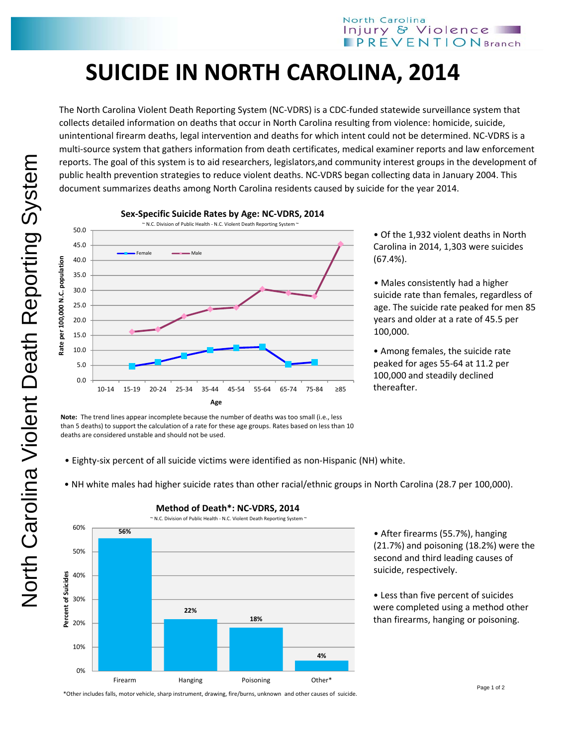## **SUICIDE IN NORTH CAROLINA, 2014**

The North Carolina Violent Death Reporting System (NC‐VDRS) is a CDC‐funded statewide surveillance system that collects detailed information on deaths that occur in North Carolina resulting from violence: homicide, suicide, unintentional firearm deaths, legal intervention and deaths for which intent could not be determined. NC‐VDRS is a multi‐source system that gathers information from death certificates, medical examiner reports and law enforcement reports. The goal of this system is to aid researchers, legislators,and community interest groups in the development of public health prevention strategies to reduce violent deaths. NC‐VDRS began collecting data in January 2004. This document summarizes deaths among North Carolina residents caused by suicide for the year 2014.



**Sex‐Specific Suicide Rates by Age: NC‐VDRS, 2014**

• Of the 1,932 violent deaths in North Carolina in 2014, 1,303 were suicides (67.4%).

• Males consistently had a higher suicide rate than females, regardless of age. The suicide rate peaked for men 85 years and older at a rate of 45.5 per 100,000.

• Among females, the suicide rate peaked for ages 55‐64 at 11.2 per 100,000 and steadily declined thereafter.

**Note:** The trend lines appear incomplete because the number of deaths was too small (i.e., less than 5 deaths) to support the calculation of a rate for these age groups. Rates based on less than 10 deaths are considered unstable and should not be used.

- Eighty‐six percent of all suicide victims were identified as non‐Hispanic (NH) white.
- NH white males had higher suicide rates than other racial/ethnic groups in North Carolina (28.7 per 100,000).

**4%**



**Method of Death\*: NC‐VDRS, 2014**

• After firearms (55.7%), hanging (21.7%) and poisoning (18.2%) were the second and third leading causes of suicide, respectively.

• Less than five percent of suicides were completed using a method other than firearms, hanging or poisoning.

\*Other includes falls, motor vehicle, sharp instrument, drawing, fire/burns, unknown and other causes of suicide.